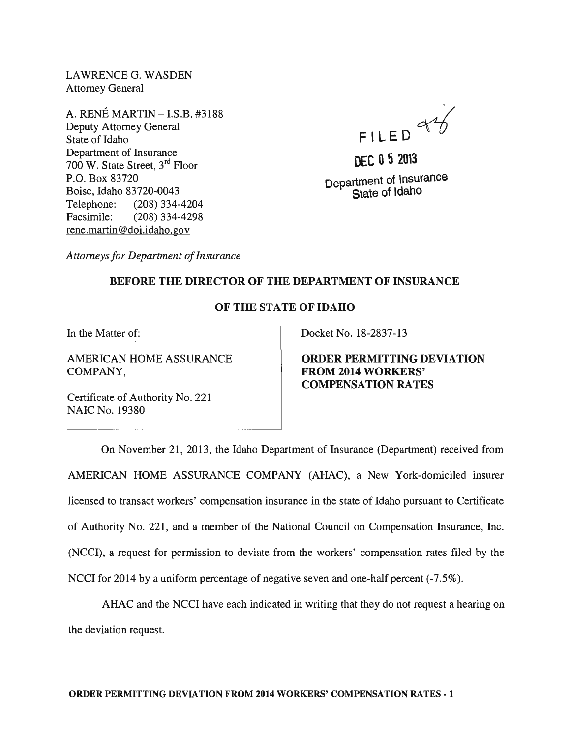LAWRENCEG. WASDEN Attorney General

A. RENE MARTIN - I.S.B. #3188 Deputy Attorney General State of Idaho Department of Insurance 700 W. State Street, 3rd Floor P.O. Box 83720 Boise, Idaho 83720-0043 Telephone: (208) 334-4204 Facsimile: (208) 334-4298 rene.martin@doi.idaho.gov

FILED 84

**DEC 052013**  Department of lnsurance State of ldaho

*Attorneys for Department of Insurance* 

## BEFORE THE DIRECTOR OF THE DEPARTMENT OF INSURANCE

## OF THE STATE OF IDAHO

In the Matter of:

AMERICAN HOME ASSURANCE COMPANY,

Certificate of Authority No. 221 NAIC No. 19380

Docket No. 18-2837-13

ORDER PERMITTING DEVIATION FROM 2014 WORKERS' COMPENSATION RATES

On November 21, 2013, the Idaho Department of Insurance (Department) received from AMERICAN HOME ASSURANCE COMPANY (AHAC), a New York-domiciled insurer licensed to transact workers' compensation insurance in the state of Idaho pursuant to Certificate of Authority No. 221, and a member of the National Council on Compensation Insurance, Inc. (NCCI), a request for permission to deviate from the workers' compensation rates filed by the NCCI for 2014 by a uniform percentage of negative seven and one-half percent (-7.5%).

AHAC and the NCCI have each indicated in writing that they do not request a hearing on the deviation request.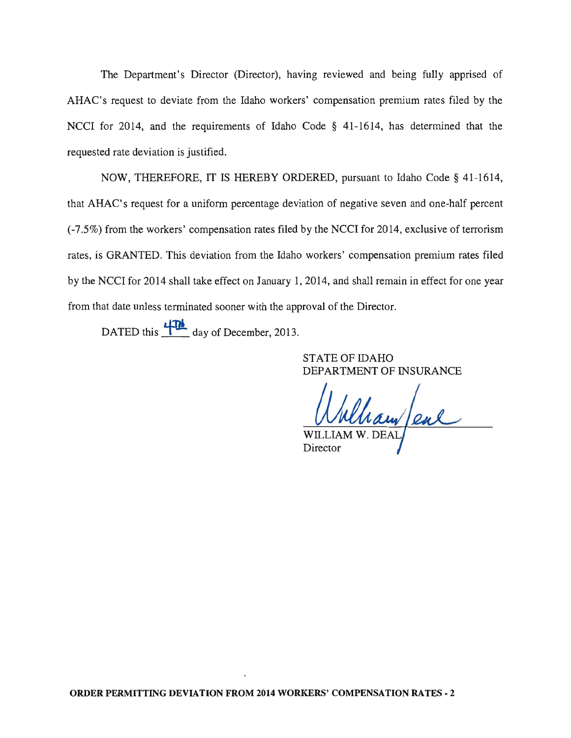The Department's Director (Director), having reviewed and being fully apprised of AHAC's request to deviate from the Idaho workers' compensation premium rates filed by the NCCI for 2014, and the requirements of Idaho Code § 41-1614, has determined that the requested rate deviation is justified.

NOW, THEREFORE, IT IS HEREBY ORDERED, pursuant to Idaho Code § 41-1614, that AHAC's request for a uniform percentage deviation of negative seven and one-half percent (-7.5%) from the workers' compensation rates filed by the NCCI for 2014, exclusive of terrorism rates, is GRANTED. This deviation from the Idaho workers' compensation premium rates filed by the NCCI for 2014 shall take effect on January 1,2014, and shall remain in effect for one year from that date unless terminated sooner with the approval of the Director.

DATED this  $\frac{471}{\sqrt{2}}$  day of December, 2013.

STATE OF IDAHO DEPARTMENT OF INSURANCE

 $\frac{d}{d\mu}$ 

Director